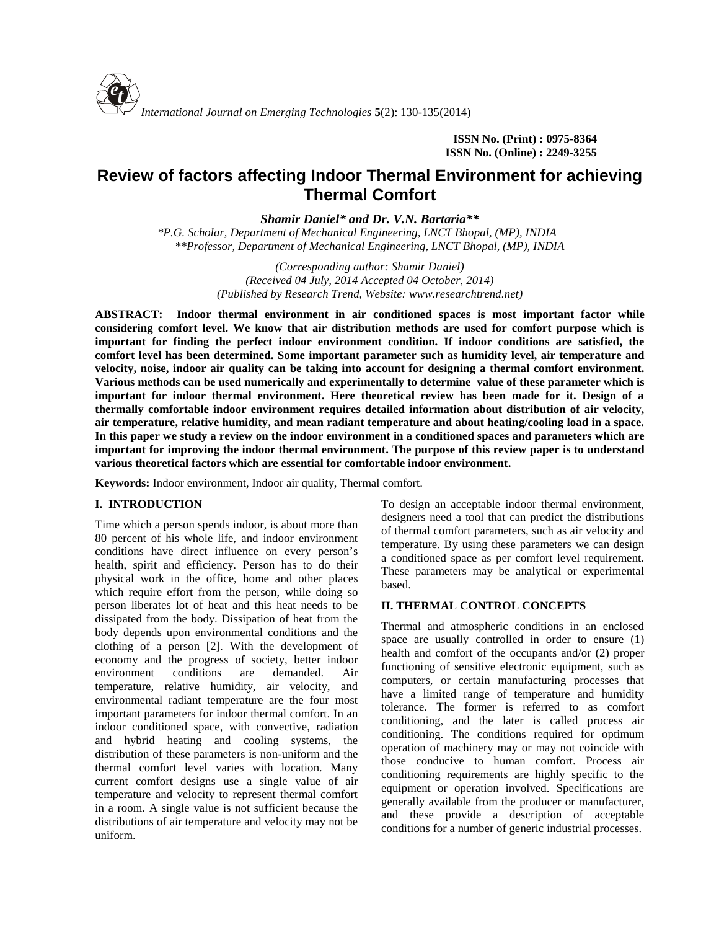

**ISSN No. (Print) : 0975-8364 ISSN No. (Online) : 2249-3255**

# **Review of factors affecting Indoor Thermal Environment for achieving Thermal Comfort**

*Shamir Daniel\* and Dr. V.N. Bartaria\*\**

*\*P.G. Scholar, Department of Mechanical Engineering, LNCT Bhopal, (MP), INDIA \*\*Professor, Department of Mechanical Engineering, LNCT Bhopal, (MP), INDIA*

> *(Corresponding author: Shamir Daniel) (Received 04 July, 2014 Accepted 04 October, 2014) (Published by Research Trend, Website: [www.researchtrend.net\)](www.researchtrend.net)*

**ABSTRACT: Indoor thermal environment in air conditioned spaces is most important factor while considering comfort level. We know that air distribution methods are used for comfort purpose which is important for finding the perfect indoor environment condition. If indoor conditions are satisfied, the comfort level has been determined. Some important parameter such as humidity level, air temperature and velocity, noise, indoor air quality can be taking into account for designing a thermal comfort environment. Various methods can be used numerically and experimentally to determine value of these parameter which is important for indoor thermal environment. Here theoretical review has been made for it. Design of a thermally comfortable indoor environment requires detailed information about distribution of air velocity, air temperature, relative humidity, and mean radiant temperature and about heating/cooling load in a space. In this paper we study a review on the indoor environment in a conditioned spaces and parameters which are important for improving the indoor thermal environment. The purpose of this review paper is to understand various theoretical factors which are essential for comfortable indoor environment.**

**Keywords:** Indoor environment, Indoor air quality, Thermal comfort.

#### **I. INTRODUCTION**

Time which a person spends indoor, is about more than 80 percent of his whole life, and indoor environment conditions have direct influence on every person's health, spirit and efficiency. Person has to do their physical work in the office, home and other places which require effort from the person, while doing so person liberates lot of heat and this heat needs to be dissipated from the body. Dissipation of heat from the body depends upon environmental conditions and the clothing of a person [2]. With the development of economy and the progress of society, better indoor environment conditions are demanded. Air temperature, relative humidity, air velocity, and environmental radiant temperature are the four most important parameters for indoor thermal comfort. In an indoor conditioned space, with convective, radiation and hybrid heating and cooling systems, the distribution of these parameters is non-uniform and the thermal comfort level varies with location. Many current comfort designs use a single value of air temperature and velocity to represent thermal comfort in a room. A single value is not sufficient because the distributions of air temperature and velocity may not be uniform.

To design an acceptable indoor thermal environment, designers need a tool that can predict the distributions of thermal comfort parameters, such as air velocity and temperature. By using these parameters we can design a conditioned space as per comfort level requirement. These parameters may be analytical or experimental based.

#### **II. THERMAL CONTROL CONCEPTS**

Thermal and atmospheric conditions in an enclosed space are usually controlled in order to ensure (1) health and comfort of the occupants and/or (2) proper functioning of sensitive electronic equipment, such as computers, or certain manufacturing processes that have a limited range of temperature and humidity tolerance. The former is referred to as comfort conditioning, and the later is called process air conditioning. The conditions required for optimum operation of machinery may or may not coincide with those conducive to human comfort. Process air conditioning requirements are highly specific to the equipment or operation involved. Specifications are generally available from the producer or manufacturer, and these provide a description of acceptable conditions for a number of generic industrial processes.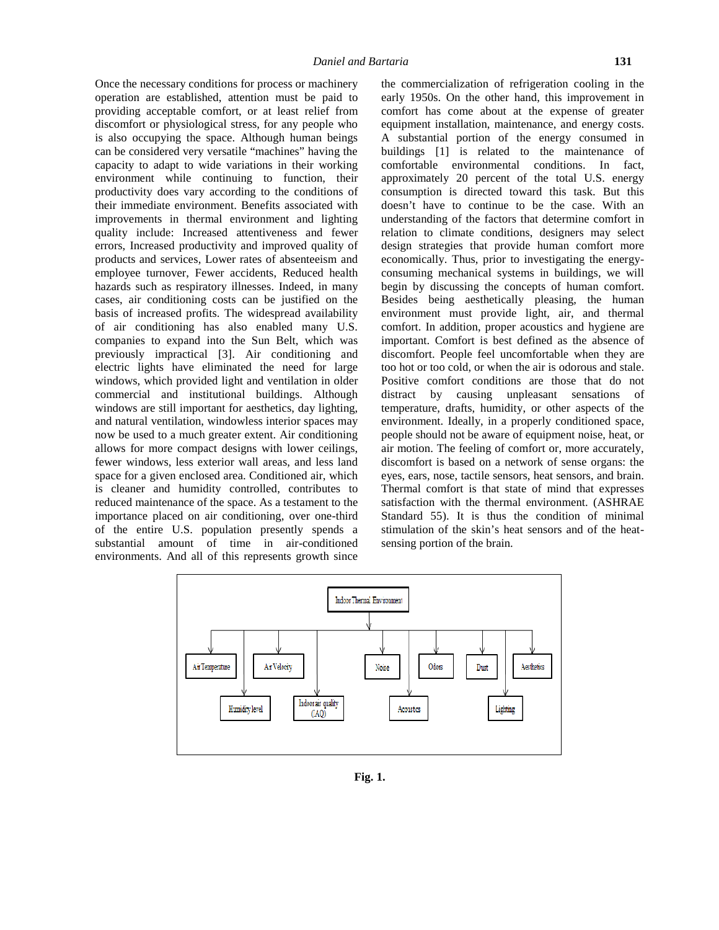Once the necessary conditions for process or machinery operation are established, attention must be paid to providing acceptable comfort, or at least relief from discomfort or physiological stress, for any people who is also occupying the space. Although human beings can be considered very versatile "machines" having the capacity to adapt to wide variations in their working environment while continuing to function, their productivity does vary according to the conditions of their immediate environment. Benefits associated with improvements in thermal environment and lighting quality include: Increased attentiveness and fewer errors, Increased productivity and improved quality of products and services, Lower rates of absenteeism and employee turnover, Fewer accidents, Reduced health hazards such as respiratory illnesses. Indeed, in many cases, air conditioning costs can be justified on the basis of increased profits. The widespread availability of air conditioning has also enabled many U.S. companies to expand into the Sun Belt, which was previously impractical [3]. Air conditioning and electric lights have eliminated the need for large windows, which provided light and ventilation in older commercial and institutional buildings. Although windows are still important for aesthetics, day lighting, and natural ventilation, windowless interior spaces may now be used to a much greater extent. Air conditioning allows for more compact designs with lower ceilings, fewer windows, less exterior wall areas, and less land space for a given enclosed area. Conditioned air, which is cleaner and humidity controlled, contributes to reduced maintenance of the space. As a testament to the importance placed on air conditioning, over one-third of the entire U.S. population presently spends a substantial amount of time in air-conditioned environments. And all of this represents growth since

the commercialization of refrigeration cooling in the early 1950s. On the other hand, this improvement in comfort has come about at the expense of greater equipment installation, maintenance, and energy costs. A substantial portion of the energy consumed in buildings [1] is related to the maintenance of comfortable environmental conditions. In fact, approximately 20 percent of the total U.S. energy consumption is directed toward this task. But this doesn't have to continue to be the case. With an understanding of the factors that determine comfort in relation to climate conditions, designers may select design strategies that provide human comfort more economically. Thus, prior to investigating the energy consuming mechanical systems in buildings, we will begin by discussing the concepts of human comfort. Besides being aesthetically pleasing, the human environment must provide light, air, and thermal comfort. In addition, proper acoustics and hygiene are important. Comfort is best defined as the absence of discomfort. People feel uncomfortable when they are too hot or too cold, or when the air is odorous and stale. Positive comfort conditions are those that do not distract by causing unpleasant sensations of temperature, drafts, humidity, or other aspects of the environment. Ideally, in a properly conditioned space, people should not be aware of equipment noise, heat, or air motion. The feeling of comfort or, more accurately, discomfort is based on a network of sense organs: the eyes, ears, nose, tactile sensors, heat sensors, and brain. Thermal comfort is that state of mind that expresses satisfaction with the thermal environment. (ASHRAE Standard 55). It is thus the condition of minimal stimulation of the skin's heat sensors and of the heat sensing portion of the brain.



**Fig. 1.**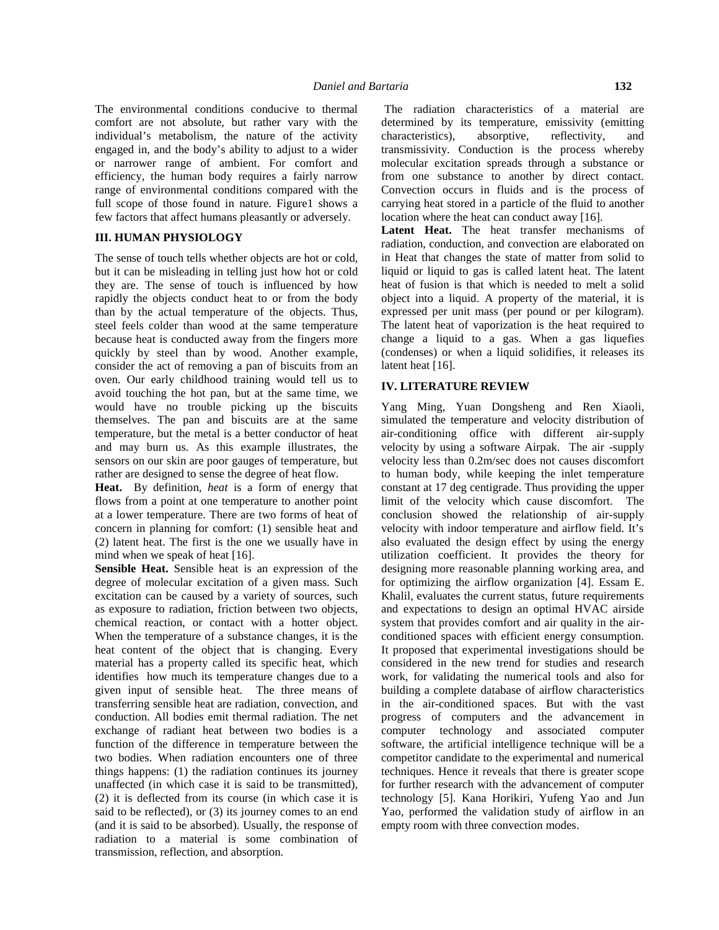The environmental conditions conducive to thermal comfort are not absolute, but rather vary with the individual's metabolism, the nature of the activity engaged in, and the body's ability to adjust to a wider or narrower range of ambient. For comfort and efficiency, the human body requires a fairly narrow range of environmental conditions compared with the full scope of those found in nature. Figure1 shows a few factors that affect humans pleasantly or adversely.

#### **III. HUMAN PHYSIOLOGY**

The sense of touch tells whether objects are hot or cold, but it can be misleading in telling just how hot or cold they are. The sense of touch is influenced by how rapidly the objects conduct heat to or from the body than by the actual temperature of the objects. Thus, steel feels colder than wood at the same temperature because heat is conducted away from the fingers more quickly by steel than by wood. Another example, consider the act of removing a pan of biscuits from an oven. Our early childhood training would tell us to avoid touching the hot pan, but at the same time, we would have no trouble picking up the biscuits themselves. The pan and biscuits are at the same temperature, but the metal is a better conductor of heat and may burn us. As this example illustrates, the sensors on our skin are poor gauges of temperature, but rather are designed to sense the degree of heat flow.

**Heat.** By definition, *heat* is a form of energy that flows from a point at one temperature to another point at a lower temperature. There are two forms of heat of concern in planning for comfort: (1) sensible heat and (2) latent heat. The first is the one we usually have in mind when we speak of heat [16].

**Sensible Heat.** Sensible heat is an expression of the degree of molecular excitation of a given mass. Such excitation can be caused by a variety of sources, such as exposure to radiation, friction between two objects, chemical reaction, or contact with a hotter object. When the temperature of a substance changes, it is the heat content of the object that is changing. Every material has a property called its specific heat, which identifies how much its temperature changes due to a given input of sensible heat. The three means of transferring sensible heat are radiation, convection, and conduction. All bodies emit thermal radiation. The net exchange of radiant heat between two bodies is a function of the difference in temperature between the two bodies. When radiation encounters one of three things happens: (1) the radiation continues its journey unaffected (in which case it is said to be transmitted), (2) it is deflected from its course (in which case it is said to be reflected), or (3) its journey comes to an end (and it is said to be absorbed). Usually, the response of radiation to a material is some combination of transmission, reflection, and absorption.

The radiation characteristics of a material are determined by its temperature, emissivity (emitting characteristics), absorptive, reflectivity, and transmissivity. Conduction is the process whereby molecular excitation spreads through a substance or from one substance to another by direct contact. Convection occurs in fluids and is the process of carrying heat stored in a particle of the fluid to another location where the heat can conduct away [16].

**Latent Heat.** The heat transfer mechanisms of radiation, conduction, and convection are elaborated on in Heat that changes the state of matter from solid to liquid or liquid to gas is called latent heat. The latent heat of fusion is that which is needed to melt a solid object into a liquid. A property of the material, it is expressed per unit mass (per pound or per kilogram). The latent heat of vaporization is the heat required to change a liquid to a gas. When a gas liquefies (condenses) or when a liquid solidifies, it releases its latent heat [16].

### **IV. LITERATURE REVIEW**

Yang Ming, Yuan Dongsheng and Ren Xiaoli, simulated the temperature and velocity distribution of air-conditioning office with different air-supply velocity by using a software Airpak. The air -supply velocity less than 0.2m/sec does not causes discomfort to human body, while keeping the inlet temperature constant at 17 deg centigrade. Thus providing the upper limit of the velocity which cause discomfort. The conclusion showed the relationship of air-supply velocity with indoor temperature and airflow field. It's also evaluated the design effect by using the energy utilization coefficient. It provides the theory for designing more reasonable planning working area, and for optimizing the airflow organization [4].Essam E. Khalil, evaluates the current status, future requirements and expectations to design an optimal HVAC airside system that provides comfort and air quality in the air conditioned spaces with efficient energy consumption. It proposed that experimental investigations should be considered in the new trend for studies and research work, for validating the numerical tools and also for building a complete database of airflow characteristics in the air-conditioned spaces. But with the vast progress of computers and the advancement in computer technology and associated computer software, the artificial intelligence technique will be a competitor candidate to the experimental and numerical techniques. Hence it reveals that there is greater scope for further research with the advancement of computer technology [5]. Kana Horikiri, Yufeng Yao and Jun Yao, performed the validation study of airflow in an empty room with three convection modes.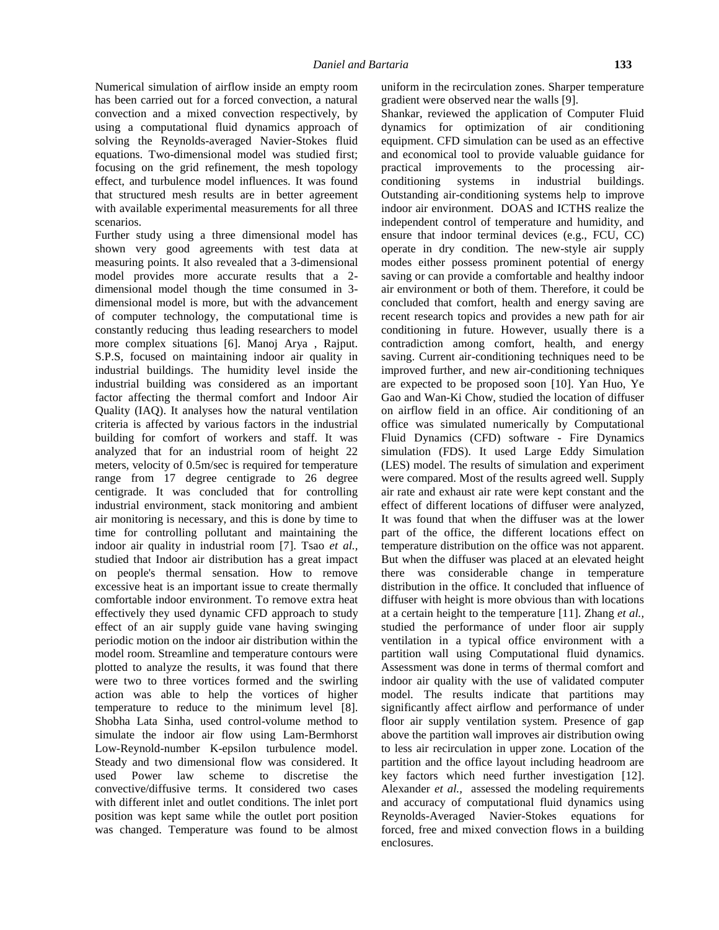Numerical simulation of airflow inside an empty room has been carried out for a forced convection, a natural convection and a mixed convection respectively, by using a computational fluid dynamics approach of solving the Reynolds-averaged Navier-Stokes fluid equations. Two-dimensional model was studied first; focusing on the grid refinement, the mesh topology effect, and turbulence model influences. It was found that structured mesh results are in better agreement with available experimental measurements for all three scenarios.

Further study using a three dimensional model has shown very good agreements with test data at measuring points. It also revealed that a 3-dimensional model provides more accurate results that a 2 dimensional model though the time consumed in 3 dimensional model is more, but with the advancement of computer technology, the computational time is constantly reducing thus leading researchers to model more complex situations [6]. Manoj Arya , Rajput. S.P.S, focused on maintaining indoor air quality in industrial buildings. The humidity level inside the industrial building was considered as an important factor affecting the thermal comfort and Indoor Air Quality (IAQ). It analyses how the natural ventilation criteria is affected by various factors in the industrial building for comfort of workers and staff. It was analyzed that for an industrial room of height 22 meters, velocity of 0.5m/sec is required for temperature range from 17 degree centigrade to 26 degree centigrade. It was concluded that for controlling industrial environment, stack monitoring and ambient air monitoring is necessary, and this is done by time to time for controlling pollutant and maintaining the indoor air quality in industrial room [7]. Tsao *et al.,* studied that Indoor air distribution has a great impact on people's thermal sensation. How to remove excessive heat is an important issue to create thermally comfortable indoor environment. To remove extra heat effectively they used dynamic CFD approach to study effect of an air supply guide vane having swinging periodic motion on the indoor air distribution within the model room. Streamline and temperature contours were plotted to analyze the results, it was found that there were two to three vortices formed and the swirling action was able to help the vortices of higher temperature to reduce to the minimum level [8]. Shobha Lata Sinha, used control-volume method to simulate the indoor air flow using Lam-Bermhorst Low-Reynold-number K-epsilon turbulence model. Steady and two dimensional flow was considered. It used Power law scheme to discretise the convective/diffusive terms. It considered two cases with different inlet and outlet conditions. The inlet port position was kept same while the outlet port position was changed. Temperature was found to be almost uniform in the recirculation zones. Sharper temperature gradient were observed near the walls [9].

Shankar, reviewed the application of Computer Fluid dynamics for optimization of air conditioning equipment. CFD simulation can be used as an effective and economical tool to provide valuable guidance for practical improvements to the processing air conditioning systems in industrial buildings. Outstanding air-conditioning systems help to improve indoor air environment. DOAS and ICTHS realize the independent control of temperature and humidity, and ensure that indoor terminal devices (e.g., FCU, CC) operate in dry condition. The new-style air supply modes either possess prominent potential of energy saving or can provide a comfortable and healthy indoor air environment or both of them. Therefore, it could be concluded that comfort, health and energy saving are recent research topics and provides a new path for air conditioning in future. However, usually there is a contradiction among comfort, health, and energy saving. Current air-conditioning techniques need to be improved further, and new air-conditioning techniques are expected to be proposed soon [10]. Yan Huo, Ye Gao and Wan-Ki Chow, studied the location of diffuser on airflow field in an office. Air conditioning of an office was simulated numerically by Computational Fluid Dynamics (CFD) software - Fire Dynamics simulation (FDS). It used Large Eddy Simulation (LES) model. The results of simulation and experiment were compared. Most of the results agreed well. Supply air rate and exhaust air rate were kept constant and the effect of different locations of diffuser were analyzed, It was found that when the diffuser was at the lower part of the office, the different locations effect on temperature distribution on the office was not apparent. But when the diffuser was placed at an elevated height there was considerable change in temperature distribution in the office. It concluded that influence of diffuser with height is more obvious than with locations at a certain height to the temperature [11]. Zhang *et al.,* studied the performance of under floor air supply ventilation in a typical office environment with a partition wall using Computational fluid dynamics. Assessment was done in terms of thermal comfort and indoor air quality with the use of validated computer model. The results indicate that partitions may significantly affect airflow and performance of under floor air supply ventilation system. Presence of gap above the partition wall improves air distribution owing to less air recirculation in upper zone. Location of the partition and the office layout including headroom are key factors which need further investigation [12]. Alexander *et al.,* assessed the modeling requirements and accuracy of computational fluid dynamics using Reynolds-Averaged Navier-Stokes equations for forced, free and mixed convection flows in a building enclosures.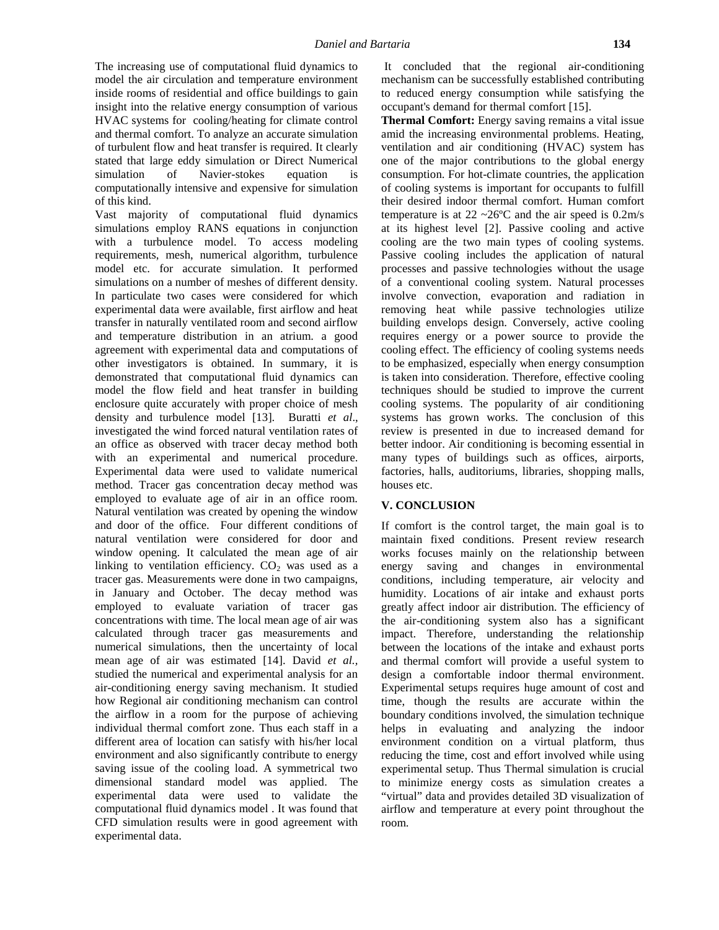The increasing use of computational fluid dynamics to model the air circulation and temperature environment inside rooms of residential and office buildings to gain insight into the relative energy consumption of various HVAC systems for cooling/heating for climate control and thermal comfort. To analyze an accurate simulation of turbulent flow and heat transfer is required. It clearly stated that large eddy simulation or Direct Numerical simulation of Navier-stokes equation is computationally intensive and expensive for simulation of this kind.

Vast majority of computational fluid dynamics simulations employ RANS equations in conjunction with a turbulence model. To access modeling requirements, mesh, numerical algorithm, turbulence model etc. for accurate simulation. It performed simulations on a number of meshes of different density. In particulate two cases were considered for which experimental data were available, first airflow and heat transfer in naturally ventilated room and second airflow and temperature distribution in an atrium. a good agreement with experimental data and computations of other investigators is obtained. In summary, it is demonstrated that computational fluid dynamics can model the flow field and heat transfer in building enclosure quite accurately with proper choice of mesh density and turbulence model [13]. Buratti *et al*., investigated the wind forced natural ventilation rates of an office as observed with tracer decay method both with an experimental and numerical procedure. Experimental data were used to validate numerical method. Tracer gas concentration decay method was employed to evaluate age of air in an office room. Natural ventilation was created by opening the window and door of the office. Four different conditions of natural ventilation were considered for door and window opening. It calculated the mean age of air linking to ventilation efficiency.  $CO<sub>2</sub>$  was used as a tracer gas. Measurements were done in two campaigns, in January and October. The decay method was employed to evaluate variation of tracer gas concentrations with time. The local mean age of air was calculated through tracer gas measurements and numerical simulations, then the uncertainty of local mean age of air was estimated [14]. David *et al.,* studied the numerical and experimental analysis for an air-conditioning energy saving mechanism. It studied how Regional air conditioning mechanism can control the airflow in a room for the purpose of achieving individual thermal comfort zone. Thus each staff in a different area of location can satisfy with his/her local environment and also significantly contribute to energy saving issue of the cooling load. A symmetrical two dimensional standard model was applied. The experimental data were used to validate the computational fluid dynamics model . It was found that CFD simulation results were in good agreement with experimental data.

It concluded that the regional air-conditioning mechanism can be successfully established contributing to reduced energy consumption while satisfying the occupant's demand for thermal comfort [15].

**Thermal Comfort:** Energy saving remains a vital issue amid the increasing environmental problems. Heating, ventilation and air conditioning (HVAC) system has one of the major contributions to the global energy consumption. For hot-climate countries, the application of cooling systems is important for occupants to fulfill their desired indoor thermal comfort. Human comfort temperature is at  $22 \sim 26^{\circ}$ C and the air speed is  $0.2 \text{m/s}$ at its highest level [2]. Passive cooling and active cooling are the two main types of cooling systems. Passive cooling includes the application of natural processes and passive technologies without the usage of a conventional cooling system. Natural processes involve convection, evaporation and radiation in removing heat while passive technologies utilize building envelops design. Conversely, active cooling requires energy or a power source to provide the cooling effect. The efficiency of cooling systems needs to be emphasized, especially when energy consumption is taken into consideration. Therefore, effective cooling techniques should be studied to improve the current cooling systems. The popularity of air conditioning systems has grown works. The conclusion of this review is presented in due to increased demand for better indoor. Air conditioning is becoming essential in many types of buildings such as offices, airports, factories, halls, auditoriums, libraries, shopping malls, houses etc.

#### **V. CONCLUSION**

If comfort is the control target, the main goal is to maintain fixed conditions. Present review research works focuses mainly on the relationship between energy saving and changes in environmental conditions, including temperature, air velocity and humidity. Locations of air intake and exhaust ports greatly affect indoor air distribution. The efficiency of the air-conditioning system also has a significant impact. Therefore, understanding the relationship between the locations of the intake and exhaust ports and thermal comfort will provide a useful system to design a comfortable indoor thermal environment. Experimental setups requires huge amount of cost and time, though the results are accurate within the boundary conditions involved, the simulation technique helps in evaluating and analyzing the indoor environment condition on a virtual platform, thus reducing the time, cost and effort involved while using experimental setup. Thus Thermal simulation is crucial to minimize energy costs as simulation creates a "virtual" data and provides detailed 3D visualization of airflow and temperature at every point throughout the room.